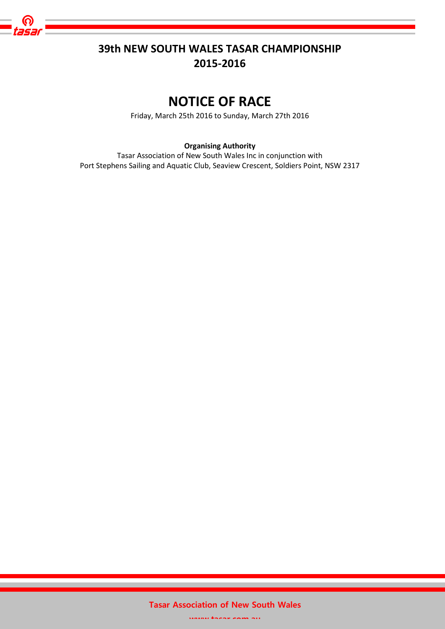

## **39th NEW SOUTH WALES TASAR CHAMPIONSHIP 2015-2016**

# **NOTICE OF RACE**

Friday, March 25th 2016 to Sunday, March 27th 2016

**Organising Authority**

Tasar Association of New South Wales Inc in conjunction with Port Stephens Sailing and Aquatic Club, Seaview Crescent, Soldiers Point, NSW 2317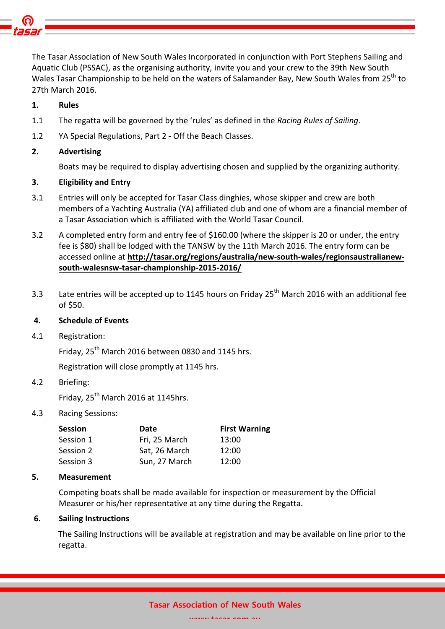

The Tasar Association of New South Wales Incorporated in conjunction with Port Stephens Sailing and Aquatic Club (PSSAC), as the organising authority, invite you and your crew to the 39th New South Wales Tasar Championship to be held on the waters of Salamander Bay, New South Wales from 25<sup>th</sup> to 27th March 2016.

## **1. Rules**

- 1.1 The regatta will be governed by the 'rules' as defined in the *Racing Rules of Sailing*.
- 1.2 YA Special Regulations, Part 2 Off the Beach Classes.

## **2. Advertising**

Boats may be required to display advertising chosen and supplied by the organizing authority.

## **3. Eligibility and Entry**

- 3.1 Entries will only be accepted for Tasar Class dinghies, whose skipper and crew are both members of a Yachting Australia (YA) affiliated club and one of whom are a financial member of a Tasar Association which is affiliated with the World Tasar Council.
- 3.2 A completed entry form and entry fee of \$160.00 (where the skipper is 20 or under, the entry fee is \$80) shall be lodged with the TANSW by the 11th March 2016. The entry form can be accessed online at **[http://tasar.org/regions/australia/new-south-wales/regionsaustralianew](http://tasar.org/regions/australia/new-south-wales/regionsaustralianew-south-walesnsw-tasar-championship-2015-2016/)[south-walesnsw-tasar-championship-2015-2016/](http://tasar.org/regions/australia/new-south-wales/regionsaustralianew-south-walesnsw-tasar-championship-2015-2016/)**
- 3.3 Late entries will be accepted up to 1145 hours on Friday 25<sup>th</sup> March 2016 with an additional fee of \$50.

## **4. Schedule of Events**

4.1 Registration:

Friday, 25<sup>th</sup> March 2016 between 0830 and 1145 hrs.

Registration will close promptly at 1145 hrs.

## 4.2 Briefing:

Friday,  $25^{th}$  March 2016 at 1145hrs.

## 4.3 Racing Sessions:

| Session   | Date          | <b>First Warning</b> |
|-----------|---------------|----------------------|
| Session 1 | Fri, 25 March | 13:00                |
| Session 2 | Sat, 26 March | 12:00                |
| Session 3 | Sun, 27 March | 12:00                |

## **5. Measurement**

Competing boats shall be made available for inspection or measurement by the Official Measurer or his/her representative at any time during the Regatta.

## **6. Sailing Instructions**

The Sailing Instructions will be available at registration and may be available on line prior to the regatta.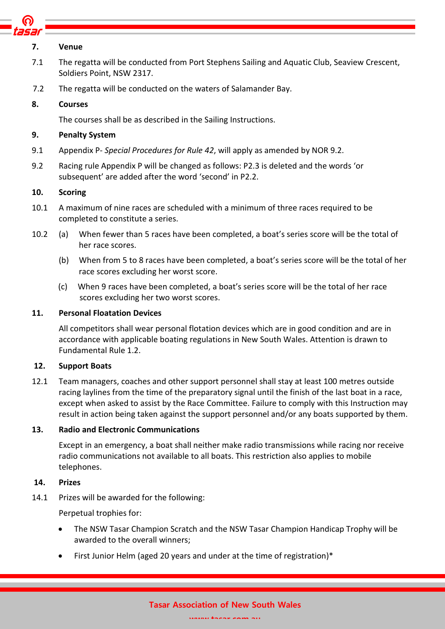

#### **7. Venue**

- 7.1 The regatta will be conducted from Port Stephens Sailing and Aquatic Club, Seaview Crescent, Soldiers Point, NSW 2317.
- 7.2 The regatta will be conducted on the waters of Salamander Bay.

## **8. Courses**

The courses shall be as described in the Sailing Instructions.

## **9. Penalty System**

- 9.1 Appendix P- *Special Procedures for Rule 42*, will apply as amended by NOR 9.2.
- 9.2 Racing rule Appendix P will be changed as follows: P2.3 is deleted and the words 'or subsequent' are added after the word 'second' in P2.2.

## **10. Scoring**

- 10.1 A maximum of nine races are scheduled with a minimum of three races required to be completed to constitute a series.
- 10.2 (a) When fewer than 5 races have been completed, a boat's series score will be the total of her race scores.
	- (b) When from 5 to 8 races have been completed, a boat's series score will be the total of her race scores excluding her worst score.
	- (c) When 9 races have been completed, a boat's series score will be the total of her race scores excluding her two worst scores.

## **11. Personal Floatation Devices**

All competitors shall wear personal flotation devices which are in good condition and are in accordance with applicable boating regulations in New South Wales. Attention is drawn to Fundamental Rule 1.2.

## **12. Support Boats**

12.1 Team managers, coaches and other support personnel shall stay at least 100 metres outside racing laylines from the time of the preparatory signal until the finish of the last boat in a race, except when asked to assist by the Race Committee. Failure to comply with this Instruction may result in action being taken against the support personnel and/or any boats supported by them.

## **13. Radio and Electronic Communications**

Except in an emergency, a boat shall neither make radio transmissions while racing nor receive radio communications not available to all boats. This restriction also applies to mobile telephones.

## **14. Prizes**

14.1 Prizes will be awarded for the following:

Perpetual trophies for:

- The NSW Tasar Champion Scratch and the NSW Tasar Champion Handicap Trophy will be awarded to the overall winners;
- First Junior Helm (aged 20 years and under at the time of registration)\*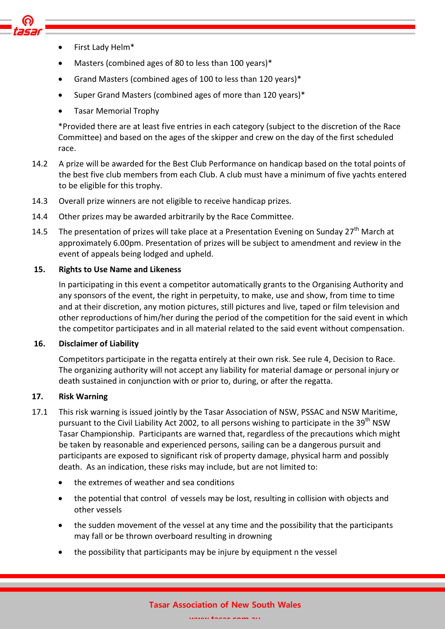- First Lady Helm\*
- Masters (combined ages of 80 to less than 100 years)\*
- Grand Masters (combined ages of 100 to less than 120 years)\*
- Super Grand Masters (combined ages of more than 120 years)\*
- Tasar Memorial Trophy

\*Provided there are at least five entries in each category (subject to the discretion of the Race Committee) and based on the ages of the skipper and crew on the day of the first scheduled race.

- 14.2 A prize will be awarded for the Best Club Performance on handicap based on the total points of the best five club members from each Club. A club must have a minimum of five yachts entered to be eligible for this trophy.
- 14.3 Overall prize winners are not eligible to receive handicap prizes.
- 14.4 Other prizes may be awarded arbitrarily by the Race Committee.
- 14.5 The presentation of prizes will take place at a Presentation Evening on Sunday 27<sup>th</sup> March at approximately 6.00pm. Presentation of prizes will be subject to amendment and review in the event of appeals being lodged and upheld.

## **15. Rights to Use Name and Likeness**

In participating in this event a competitor automatically grants to the Organising Authority and any sponsors of the event, the right in perpetuity, to make, use and show, from time to time and at their discretion, any motion pictures, still pictures and live, taped or film television and other reproductions of him/her during the period of the competition for the said event in which the competitor participates and in all material related to the said event without compensation.

## **16. Disclaimer of Liability**

Competitors participate in the regatta entirely at their own risk. See rule 4, Decision to Race. The organizing authority will not accept any liability for material damage or personal injury or death sustained in conjunction with or prior to, during, or after the regatta.

## **17. Risk Warning**

- 17.1 This risk warning is issued jointly by the Tasar Association of NSW, PSSAC and NSW Maritime, pursuant to the Civil Liability Act 2002, to all persons wishing to participate in the 39<sup>th</sup> NSW Tasar Championship. Participants are warned that, regardless of the precautions which might be taken by reasonable and experienced persons, sailing can be a dangerous pursuit and participants are exposed to significant risk of property damage, physical harm and possibly death. As an indication, these risks may include, but are not limited to:
	- the extremes of weather and sea conditions
	- the potential that control of vessels may be lost, resulting in collision with objects and other vessels
	- the sudden movement of the vessel at any time and the possibility that the participants may fall or be thrown overboard resulting in drowning
	- the possibility that participants may be injure by equipment n the vessel